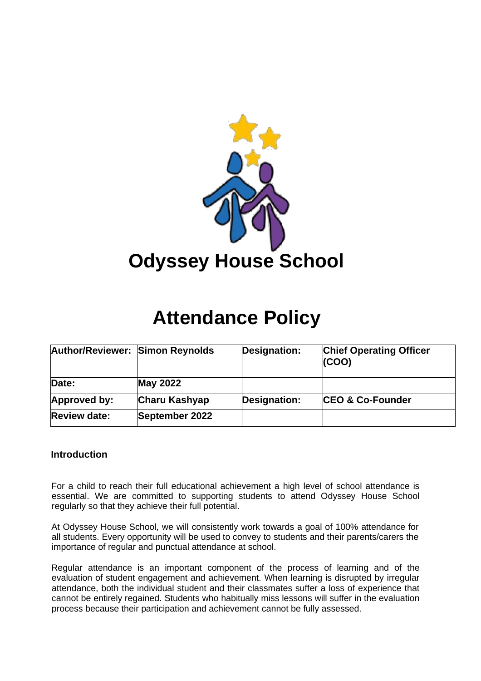

# **Attendance Policy**

| <b>Author/Reviewer: Simon Reynolds</b> |                      | Designation: | <b>Chief Operating Officer</b><br>(COO) |
|----------------------------------------|----------------------|--------------|-----------------------------------------|
| Date:                                  | <b>May 2022</b>      |              |                                         |
| Approved by:                           | <b>Charu Kashyap</b> | Designation: | <b>CEO &amp; Co-Founder</b>             |
| <b>Review date:</b>                    | September 2022       |              |                                         |

#### **Introduction**

For a child to reach their full educational achievement a high level of school attendance is essential. We are committed to supporting students to attend Odyssey House School regularly so that they achieve their full potential.

At Odyssey House School, we will consistently work towards a goal of 100% attendance for all students. Every opportunity will be used to convey to students and their parents/carers the importance of regular and punctual attendance at school.

Regular attendance is an important component of the process of learning and of the evaluation of student engagement and achievement. When learning is disrupted by irregular attendance, both the individual student and their classmates suffer a loss of experience that cannot be entirely regained. Students who habitually miss lessons will suffer in the evaluation process because their participation and achievement cannot be fully assessed.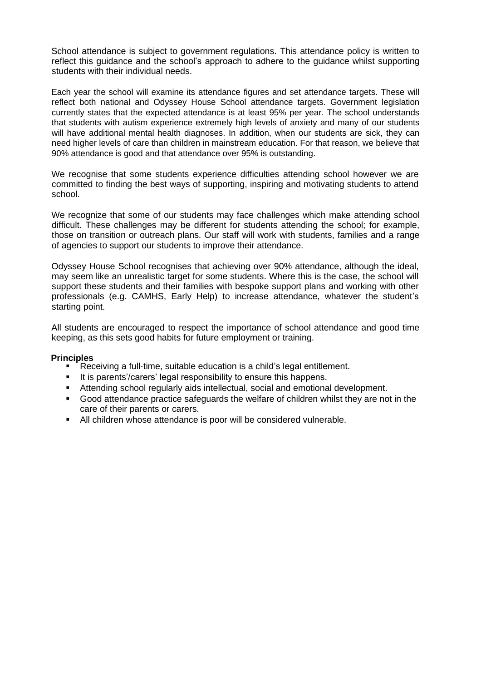School attendance is subject to government regulations. This attendance policy is written to reflect this guidance and the school's approach to adhere to the guidance whilst supporting students with their individual needs.

Each year the school will examine its attendance figures and set attendance targets. These will reflect both national and Odyssey House School attendance targets. Government legislation currently states that the expected attendance is at least 95% per year. The school understands that students with autism experience extremely high levels of anxiety and many of our students will have additional mental health diagnoses. In addition, when our students are sick, they can need higher levels of care than children in mainstream education. For that reason, we believe that 90% attendance is good and that attendance over 95% is outstanding.

We recognise that some students experience difficulties attending school however we are committed to finding the best ways of supporting, inspiring and motivating students to attend school.

We recognize that some of our students may face challenges which make attending school difficult. These challenges may be different for students attending the school; for example, those on transition or outreach plans. Our staff will work with students, families and a range of agencies to support our students to improve their attendance.

Odyssey House School recognises that achieving over 90% attendance, although the ideal, may seem like an unrealistic target for some students. Where this is the case, the school will support these students and their families with bespoke support plans and working with other professionals (e.g. CAMHS, Early Help) to increase attendance, whatever the student's starting point.

All students are encouraged to respect the importance of school attendance and good time keeping, as this sets good habits for future employment or training.

#### **Principles**

- Receiving a full-time, suitable education is a child's legal entitlement.
- It is parents'/carers' legal responsibility to ensure this happens.
- Attending school regularly aids intellectual, social and emotional development.
- Good attendance practice safeguards the welfare of children whilst they are not in the care of their parents or carers.
- All children whose attendance is poor will be considered vulnerable.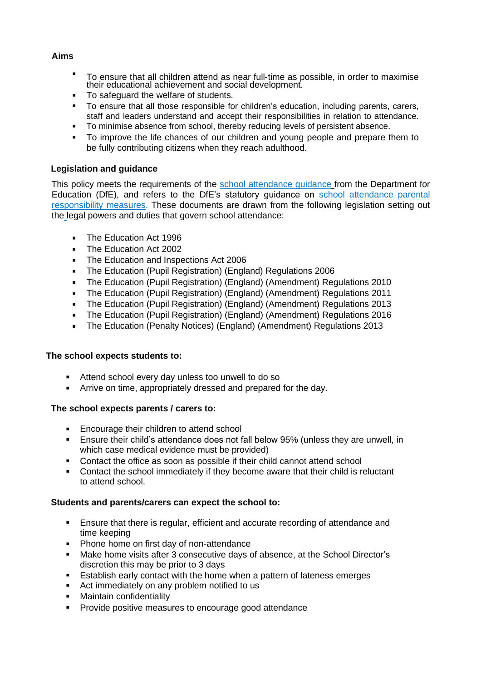#### **Aims**

- $\blacksquare$ To ensure that all children attend as near full‐time as possible, in order to maximise their educational achievement and social development.
- To safeguard the welfare of students.
- To ensure that all those responsible for children's education, including parents, carers, staff and leaders understand and accept their responsibilities in relation to attendance.
- **To minimise absence from school, thereby reducing levels of persistent absence.**
- To improve the life chances of our children and young people and prepare them to be fully contributing citizens when they reach adulthood.

#### **Legislation and guidance**

This policy meets the requirements of the [school attendance guidance](https://www.gov.uk/government/publications/school-attendance) from the Department for Education (DfE), and refers to the DfE's statutory guidance on [school attendance parental](https://www.gov.uk/government/publications/parental-responsibility-measures-for-behaviour-and-attendance) [responsibility measures.](https://www.gov.uk/government/publications/parental-responsibility-measures-for-behaviour-and-attendance) These documents are drawn from the following legislation setting out the legal powers and duties that govern school attendance:

- [The Education Act 1996](https://www.legislation.gov.uk/ukpga/1996/56/part/VI/chapter/II)  $\blacksquare$
- [The Education Act 2002](http://www.legislation.gov.uk/ukpga/2002/32/part/3/chapter/3)  $\mathbf{r}$
- $\blacksquare$ [The Education and Inspections Act 2006](http://www.legislation.gov.uk/ukpga/2006/40/part/7/chapter/2/crossheading/school-attendance)
- [The Education \(Pupil Registration\) \(England\) Regulations 2006](http://www.legislation.gov.uk/uksi/2006/1751/contents/made)  $\mathbf{r}$
- [The Education \(Pupil Registration\) \(England\) \(Amendment\) Regulations 2010](http://www.centralbedfordshire.gov.uk/Images/amendment-regulation-2010_tcm3-8642.pdf)  $\mathbf{R}^{\mathbf{p}}$
- $\mathbf{r}$ [The Education \(Pupil Registration\) \(England\) \(Amendment\) Regulations](http://www.legislation.gov.uk/uksi/2011/1625/made) 2011
- [The Education \(Pupil Registration\) \(England\) \(Amendment\) Regulations 2013](http://www.legislation.gov.uk/uksi/2013/756/made)  $\blacksquare$
- [The Education \(Pupil Registration\) \(England\) \(Amendment\) Regulations 2016](http://legislation.data.gov.uk/uksi/2016/792/made/data.html)  $\mathbf{H}^{\text{in}}_{\text{in}}$  .
- [The Education \(Penalty Notices\) \(England\) \(Amendment\) Regulations 2013](http://www.legislation.gov.uk/uksi/2013/756/pdfs/uksiem_20130756_en.pdf)  $\mathbf{r}$

#### **The school expects students to:**

- Attend school every day unless too unwell to do so
- $\mathbf{u}$  . Arrive on time, appropriately dressed and prepared for the day.

#### **The school expects parents / carers to:**

- **Encourage their children to attend school**
- $\blacksquare$ Ensure their child's attendance does not fall below 95% (unless they are unwell, in which case medical evidence must be provided)
- Contact the office as soon as possible if their child cannot attend school
- Contact the school immediately if they become aware that their child is reluctant to attend school.

#### **Students and parents/carers can expect the school to:**

- **Ensure that there is regular, efficient and accurate recording of attendance and** time keeping
- **Phone home on first day of non-attendance**
- Make home visits after 3 consecutive days of absence, at the School Director's discretion this may be prior to 3 days
- Establish early contact with the home when a pattern of lateness emerges
- $\blacksquare$ Act immediately on any problem notified to us
- Maintain confidentiality  $\blacksquare$
- **Provide positive measures to encourage good attendance**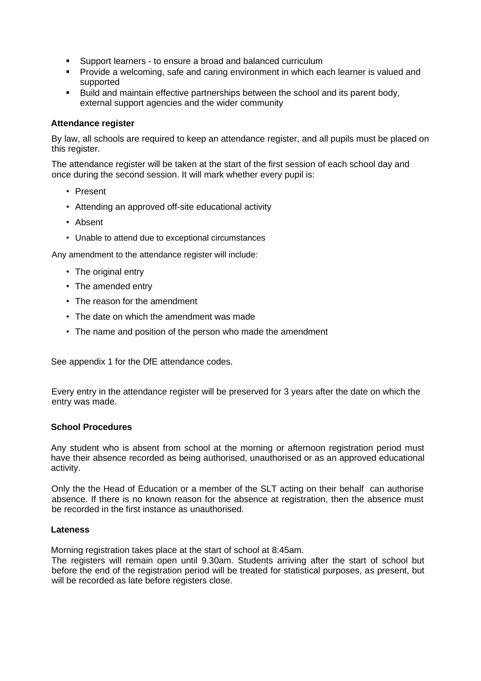- Support learners to ensure a broad and balanced curriculum
- **Provide a welcoming, safe and caring environment in which each learner is valued and** supported
- Build and maintain effective partnerships between the school and its parent body, external support agencies and the wider community

#### **Attendance register**

By law, all schools are required to keep an attendance register, and all pupils must be placed on this register.

The attendance register will be taken at the start of the first session of each school day and once during the second session. It will mark whether every pupil is:

- Present
- Attending an approved off-site educational activity
- Absent
- Unable to attend due to exceptional circumstances

Any amendment to the attendance register will include:

- The original entry
- The amended entry
- The reason for the amendment
- The date on which the amendment was made
- The name and position of the person who made the amendment

See appendix 1 for the DfE attendance codes.

Every entry in the attendance register will be preserved for 3 years after the date on which the entry was made.

#### **School Procedures**

Any student who is absent from school at the morning or afternoon registration period must have their absence recorded as being authorised, unauthorised or as an approved educational activity.

Only the the Head of Education or a member of the SLT acting on their behalf can authorise absence. If there is no known reason for the absence at registration, then the absence must be recorded in the first instance as unauthorised.

#### **Lateness**

Morning registration takes place at the start of school at 8:45am.

The registers will remain open until 9.30am. Students arriving after the start of school but before the end of the registration period will be treated for statistical purposes, as present, but will be recorded as late before registers close.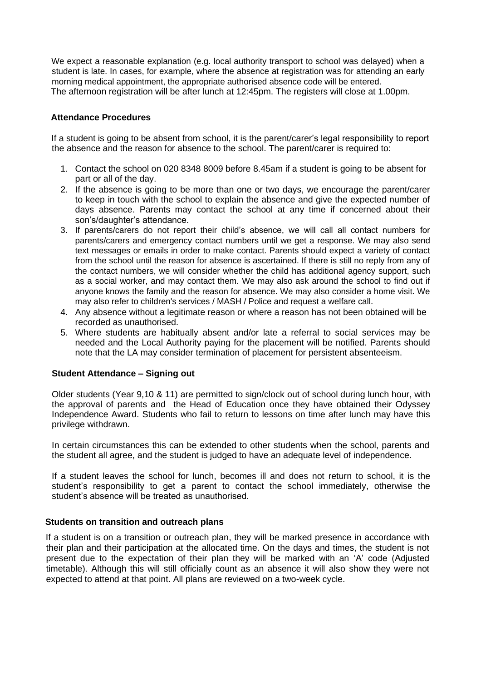We expect a reasonable explanation (e.g. local authority transport to school was delayed) when a student is late. In cases, for example, where the absence at registration was for attending an early morning medical appointment, the appropriate authorised absence code will be entered. The afternoon registration will be after lunch at 12:45pm. The registers will close at 1.00pm.

#### **Attendance Procedures**

If a student is going to be absent from school, it is the parent/carer's legal responsibility to report the absence and the reason for absence to the school. The parent/carer is required to:

- 1. Contact the school on 020 8348 8009 before 8.45am if a student is going to be absent for part or all of the day.
- 2. If the absence is going to be more than one or two days, we encourage the parent/carer to keep in touch with the school to explain the absence and give the expected number of days absence. Parents may contact the school at any time if concerned about their son's/daughter's attendance.
- 3. If parents/carers do not report their child's absence, we will call all contact numbers for parents/carers and emergency contact numbers until we get a response. We may also send text messages or emails in order to make contact. Parents should expect a variety of contact from the school until the reason for absence is ascertained. If there is still no reply from any of the contact numbers, we will consider whether the child has additional agency support, such as a social worker, and may contact them. We may also ask around the school to find out if anyone knows the family and the reason for absence. We may also consider a home visit. We may also refer to children's services / MASH / Police and request a welfare call.
- 4. Any absence without a legitimate reason or where a reason has not been obtained will be recorded as unauthorised.
- 5. Where students are habitually absent and/or late a referral to social services may be needed and the Local Authority paying for the placement will be notified. Parents should note that the LA may consider termination of placement for persistent absenteeism.

#### **Student Attendance – Signing out**

Older students (Year 9,10 & 11) are permitted to sign/clock out of school during lunch hour, with the approval of parents and the Head of Education once they have obtained their Odyssey Independence Award. Students who fail to return to lessons on time after lunch may have this privilege withdrawn.

In certain circumstances this can be extended to other students when the school, parents and the student all agree, and the student is judged to have an adequate level of independence.

If a student leaves the school for lunch, becomes ill and does not return to school, it is the student's responsibility to get a parent to contact the school immediately, otherwise the student's absence will be treated as unauthorised.

#### **Students on transition and outreach plans**

If a student is on a transition or outreach plan, they will be marked presence in accordance with their plan and their participation at the allocated time. On the days and times, the student is not present due to the expectation of their plan they will be marked with an 'A' code (Adjusted timetable). Although this will still officially count as an absence it will also show they were not expected to attend at that point. All plans are reviewed on a two-week cycle.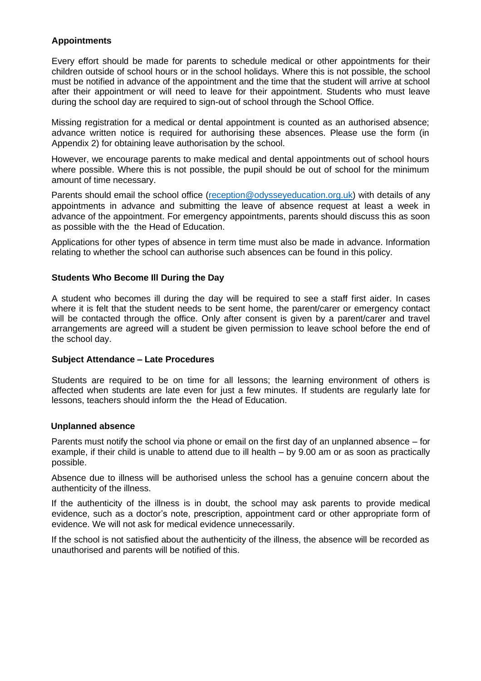#### **Appointments**

Every effort should be made for parents to schedule medical or other appointments for their children outside of school hours or in the school holidays. Where this is not possible, the school must be notified in advance of the appointment and the time that the student will arrive at school after their appointment or will need to leave for their appointment. Students who must leave during the school day are required to sign-out of school through the School Office.

Missing registration for a medical or dental appointment is counted as an authorised absence; advance written notice is required for authorising these absences. Please use the form (in Appendix 2) for obtaining leave authorisation by the school.

However, we encourage parents to make medical and dental appointments out of school hours where possible. Where this is not possible, the pupil should be out of school for the minimum amount of time necessary.

Parents should email the school office [\(reception@odysseyeducation.org.uk\) w](mailto:reception@odysseyeducation.org.uk)ith details of any appointments in advance and submitting the leave of absence request at least a week in advance of the appointment. For emergency appointments, parents should discuss this as soon as possible with the the Head of Education.

Applications for other types of absence in term time must also be made in advance. Information relating to whether the school can authorise such absences can be found in this policy.

#### **Students Who Become Ill During the Day**

A student who becomes ill during the day will be required to see a staff first aider. In cases where it is felt that the student needs to be sent home, the parent/carer or emergency contact will be contacted through the office. Only after consent is given by a parent/carer and travel arrangements are agreed will a student be given permission to leave school before the end of the school day.

#### **Subject Attendance – Late Procedures**

Students are required to be on time for all lessons; the learning environment of others is affected when students are late even for just a few minutes. If students are regularly late for lessons, teachers should inform the the Head of Education.

#### **Unplanned absence**

Parents must notify the school via phone or email on the first day of an unplanned absence – for example, if their child is unable to attend due to ill health – by 9.00 am or as soon as practically possible.

Absence due to illness will be authorised unless the school has a genuine concern about the authenticity of the illness.

If the authenticity of the illness is in doubt, the school may ask parents to provide medical evidence, such as a doctor's note, prescription, appointment card or other appropriate form of evidence. We will not ask for medical evidence unnecessarily.

If the school is not satisfied about the authenticity of the illness, the absence will be recorded as unauthorised and parents will be notified of this.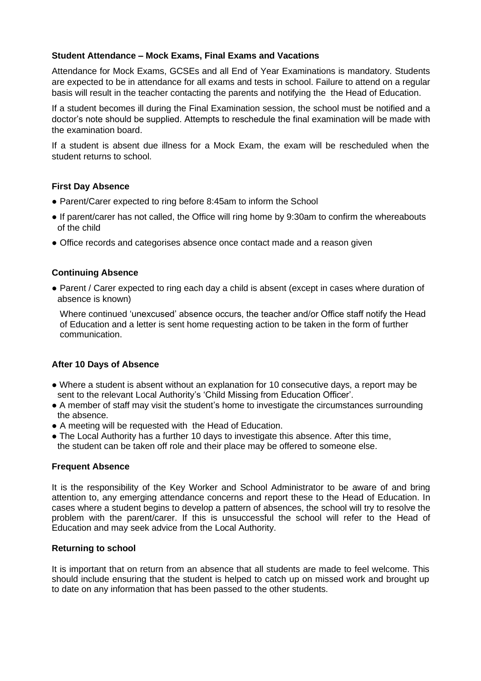#### **Student Attendance – Mock Exams, Final Exams and Vacations**

Attendance for Mock Exams, GCSEs and all End of Year Examinations is mandatory. Students are expected to be in attendance for all exams and tests in school. Failure to attend on a regular basis will result in the teacher contacting the parents and notifying the the Head of Education.

If a student becomes ill during the Final Examination session, the school must be notified and a doctor's note should be supplied. Attempts to reschedule the final examination will be made with the examination board.

If a student is absent due illness for a Mock Exam, the exam will be rescheduled when the student returns to school.

#### **First Day Absence**

- Parent/Carer expected to ring before 8:45am to inform the School
- If parent/carer has not called, the Office will ring home by 9:30am to confirm the whereabouts of the child
- Office records and categorises absence once contact made and a reason given

#### **Continuing Absence**

• Parent / Carer expected to ring each day a child is absent (except in cases where duration of absence is known)

Where continued 'unexcused' absence occurs, the teacher and/or Office staff notify the Head of Education and a letter is sent home requesting action to be taken in the form of further communication.

#### **After 10 Days of Absence**

- Where a student is absent without an explanation for 10 consecutive days, a report may be sent to the relevant Local Authority's 'Child Missing from Education Officer'.
- A member of staff may visit the student's home to investigate the circumstances surrounding the absence.
- A meeting will be requested with the Head of Education.
- The Local Authority has a further 10 days to investigate this absence. After this time, the student can be taken off role and their place may be offered to someone else.

#### **Frequent Absence**

It is the responsibility of the Key Worker and School Administrator to be aware of and bring attention to, any emerging attendance concerns and report these to the Head of Education. In cases where a student begins to develop a pattern of absences, the school will try to resolve the problem with the parent/carer. If this is unsuccessful the school will refer to the Head of Education and may seek advice from the Local Authority.

#### **Returning to school**

It is important that on return from an absence that all students are made to feel welcome. This should include ensuring that the student is helped to catch up on missed work and brought up to date on any information that has been passed to the other students.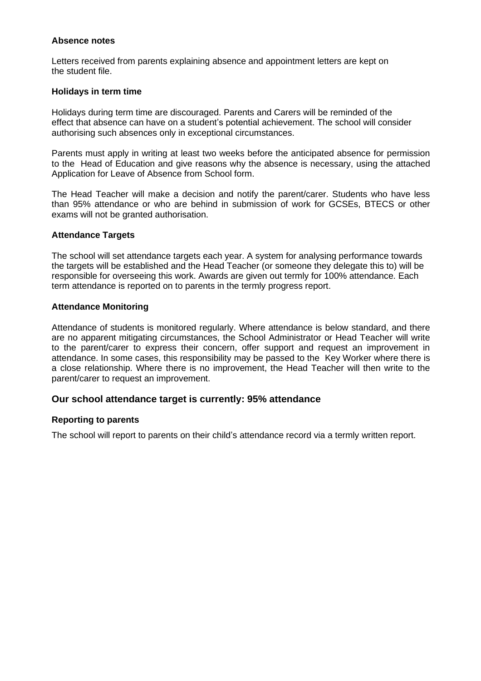#### **Absence notes**

Letters received from parents explaining absence and appointment letters are kept on the student file.

#### **Holidays in term time**

Holidays during term time are discouraged. Parents and Carers will be reminded of the effect that absence can have on a student's potential achievement. The school will consider authorising such absences only in exceptional circumstances.

Parents must apply in writing at least two weeks before the anticipated absence for permission to the Head of Education and give reasons why the absence is necessary, using the attached Application for Leave of Absence from School form.

The Head Teacher will make a decision and notify the parent/carer. Students who have less than 95% attendance or who are behind in submission of work for GCSEs, BTECS or other exams will not be granted authorisation.

#### **Attendance Targets**

The school will set attendance targets each year. A system for analysing performance towards the targets will be established and the Head Teacher (or someone they delegate this to) will be responsible for overseeing this work. Awards are given out termly for 100% attendance. Each term attendance is reported on to parents in the termly progress report.

#### **Attendance Monitoring**

Attendance of students is monitored regularly. Where attendance is below standard, and there are no apparent mitigating circumstances, the School Administrator or Head Teacher will write to the parent/carer to express their concern, offer support and request an improvement in attendance. In some cases, this responsibility may be passed to the Key Worker where there is a close relationship. Where there is no improvement, the Head Teacher will then write to the parent/carer to request an improvement.

#### **Our school attendance target is currently: 95% attendance**

#### **Reporting to parents**

The school will report to parents on their child's attendance record via a termly written report.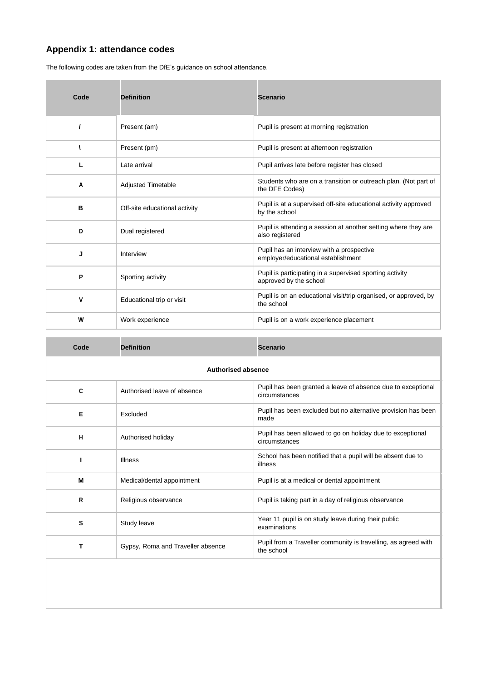### **Appendix 1: attendance codes**

The following codes are taken from the DfE's guidance on school attendance.

| Code     | <b>Definition</b>             | <b>Scenario</b>                                                                    |
|----------|-------------------------------|------------------------------------------------------------------------------------|
| $\prime$ | Present (am)                  | Pupil is present at morning registration                                           |
| ١        | Present (pm)                  | Pupil is present at afternoon registration                                         |
| L        | Late arrival                  | Pupil arrives late before register has closed                                      |
| Α        | <b>Adjusted Timetable</b>     | Students who are on a transition or outreach plan. (Not part of<br>the DFE Codes)  |
| в        | Off-site educational activity | Pupil is at a supervised off-site educational activity approved<br>by the school   |
| D        | Dual registered               | Pupil is attending a session at another setting where they are<br>also registered  |
| J        | Interview                     | Pupil has an interview with a prospective<br>employer/educational establishment    |
| P        | Sporting activity             | Pupil is participating in a supervised sporting activity<br>approved by the school |
| v        | Educational trip or visit     | Pupil is on an educational visit/trip organised, or approved, by<br>the school     |
| W        | Work experience               | Pupil is on a work experience placement                                            |

| Code                      | <b>Definition</b>                 | <b>Scenario</b>                                                               |  |
|---------------------------|-----------------------------------|-------------------------------------------------------------------------------|--|
| <b>Authorised absence</b> |                                   |                                                                               |  |
| C                         | Authorised leave of absence       | Pupil has been granted a leave of absence due to exceptional<br>circumstances |  |
| Е                         | Excluded                          | Pupil has been excluded but no alternative provision has been<br>made         |  |
| H                         | Authorised holiday                | Pupil has been allowed to go on holiday due to exceptional<br>circumstances   |  |
| ı                         | <b>Illness</b>                    | School has been notified that a pupil will be absent due to<br>illness        |  |
| М                         | Medical/dental appointment        | Pupil is at a medical or dental appointment                                   |  |
| $\mathsf{R}$              | Religious observance              | Pupil is taking part in a day of religious observance                         |  |
| s                         | Study leave                       | Year 11 pupil is on study leave during their public<br>examinations           |  |
| т                         | Gypsy, Roma and Traveller absence | Pupil from a Traveller community is travelling, as agreed with<br>the school  |  |
|                           |                                   |                                                                               |  |
|                           |                                   |                                                                               |  |
|                           |                                   |                                                                               |  |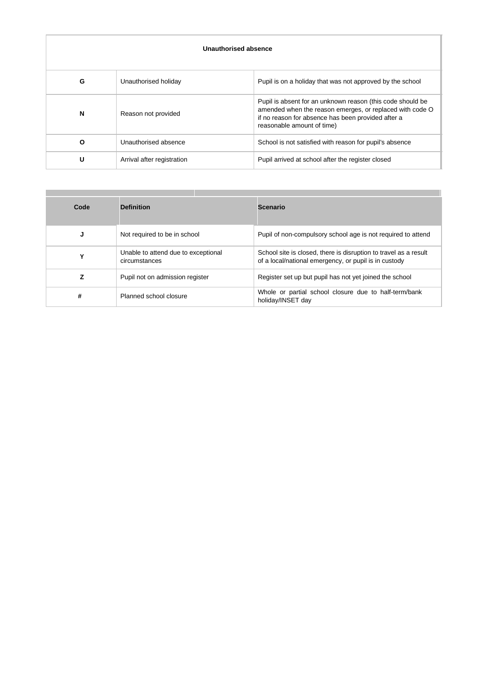| Unauthorised absence |                            |                                                                                                                                                                                                            |
|----------------------|----------------------------|------------------------------------------------------------------------------------------------------------------------------------------------------------------------------------------------------------|
| G                    | Unauthorised holiday       | Pupil is on a holiday that was not approved by the school                                                                                                                                                  |
| N                    | Reason not provided        | Pupil is absent for an unknown reason (this code should be<br>amended when the reason emerges, or replaced with code O<br>if no reason for absence has been provided after a<br>reasonable amount of time) |
| $\Omega$             | Unauthorised absence       | School is not satisfied with reason for pupil's absence                                                                                                                                                    |
| U                    | Arrival after registration | Pupil arrived at school after the register closed                                                                                                                                                          |

| Code | <b>Definition</b>                                    | <b>Scenario</b>                                                                                                           |
|------|------------------------------------------------------|---------------------------------------------------------------------------------------------------------------------------|
| J    | Not required to be in school                         | Pupil of non-compulsory school age is not required to attend                                                              |
| ν    | Unable to attend due to exceptional<br>circumstances | School site is closed, there is disruption to travel as a result<br>of a local/national emergency, or pupil is in custody |
| 7    | Pupil not on admission register                      | Register set up but pupil has not yet joined the school                                                                   |
| #    | Planned school closure                               | Whole or partial school closure due to half-term/bank<br>holiday/INSET day                                                |

a pro